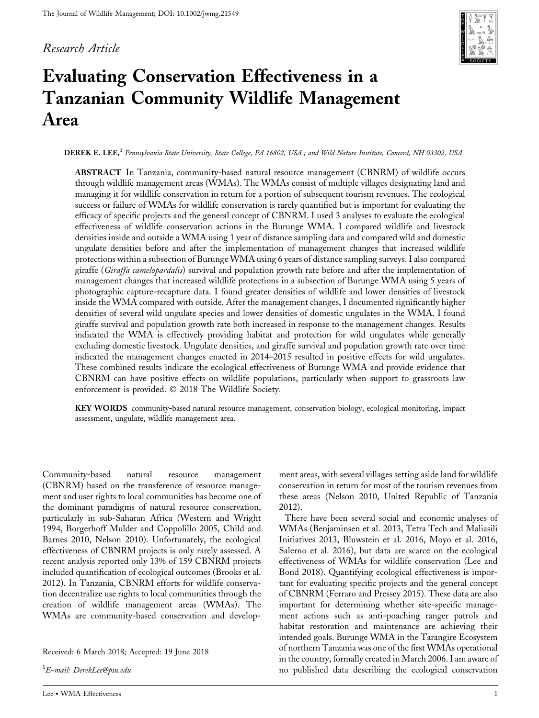## *Research Article*



# **Evaluating Conservation Effectiveness in a Tanzanian Community Wildlife Management Area**

**DEREK E. LEE,1** *Pennsylvania State University, State College, PA 16802, USA ; and Wild Nature Institute, Concord, NH 03302, USA*

**ABSTRACT** In Tanzania, community-based natural resource management (CBNRM) of wildlife occurs through wildlife management areas (WMAs). The WMAs consist of multiple villages designating land and managing it for wildlife conservation in return for a portion of subsequent tourism revenues. The ecological success or failure of WMAs for wildlife conservation is rarely quantified but is important for evaluating the efficacy of specific projects and the general concept of CBNRM. I used 3 analyses to evaluate the ecological effectiveness of wildlife conservation actions in the Burunge WMA. I compared wildlife and livestock densities inside and outside a WMA using 1 year of distance sampling data and compared wild and domestic ungulate densities before and after the implementation of management changes that increased wildlife protections within a subsection of Burunge WMA using 6 years of distance sampling surveys. I also compared giraffe (*Giraffa camelopardalis*) survival and population growth rate before and after the implementation of management changes that increased wildlife protections in a subsection of Burunge WMA using 5 years of photographic capture-recapture data. I found greater densities of wildlife and lower densities of livestock inside the WMA compared with outside. After the management changes, I documented significantly higher densities of several wild ungulate species and lower densities of domestic ungulates in the WMA. I found giraffe survival and population growth rate both increased in response to the management changes. Results indicated the WMA is effectively providing habitat and protection for wild ungulates while generally excluding domestic livestock. Ungulate densities, and giraffe survival and population growth rate over time indicated the management changes enacted in 2014–2015 resulted in positive effects for wild ungulates. These combined results indicate the ecological effectiveness of Burunge WMA and provide evidence that CBNRM can have positive effects on wildlife populations, particularly when support to grassroots law enforcement is provided.  $\odot$  2018 The Wildlife Society.

**KEY WORDS** community-based natural resource management, conservation biology, ecological monitoring, impact assessment, ungulate, wildlife management area.

Community-based natural resource management (CBNRM) based on the transference of resource management and user rights to local communities has become one of the dominant paradigms of natural resource conservation, particularly in sub-Saharan Africa (Western and Wright 1994, Borgerhoff Mulder and Coppolillo 2005, Child and Barnes 2010, Nelson 2010). Unfortunately, the ecological effectiveness of CBNRM projects is only rarely assessed. A recent analysis reported only 13% of 159 CBNRM projects included quantification of ecological outcomes (Brooks et al. 2012). In Tanzania, CBNRM efforts for wildlife conservation decentralize use rights to local communities through the creation of wildlife management areas (WMAs). The WMAs are community-based conservation and develop-

Received: 6 March 2018; Accepted: 19 June 2018

1 *E-mail: DerekLee@psu.edu*

ment areas, with several villages setting aside land for wildlife conservation in return for most of the tourism revenues from these areas (Nelson 2010, United Republic of Tanzania 2012).

There have been several social and economic analyses of WMAs (Benjaminsen et al. 2013, Tetra Tech and Maliasili Initiatives 2013, Bluwstein et al. 2016, Moyo et al. 2016, Salerno et al. 2016), but data are scarce on the ecological effectiveness of WMAs for wildlife conservation (Lee and Bond 2018). Quantifying ecological effectiveness is important for evaluating specific projects and the general concept of CBNRM (Ferraro and Pressey 2015). These data are also important for determining whether site-specific management actions such as anti-poaching ranger patrols and habitat restoration and maintenance are achieving their intended goals. Burunge WMA in the Tarangire Ecosystem of northern Tanzania was one of the first WMAs operational in the country, formally created in March 2006. I am aware of no published data describing the ecological conservation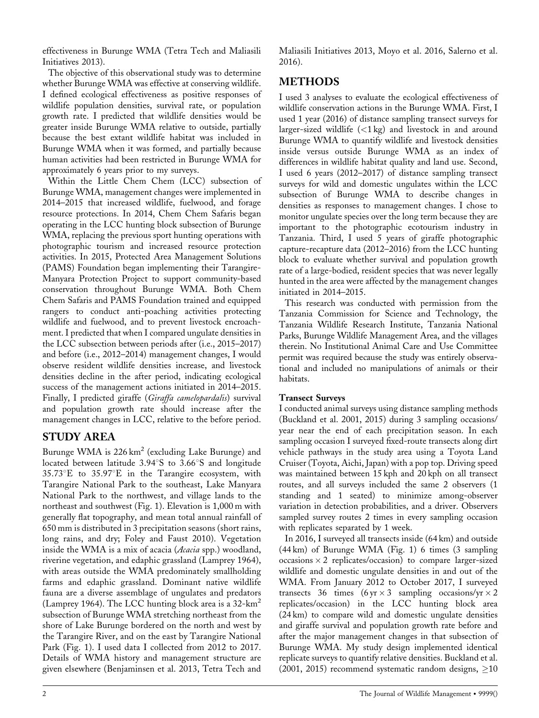effectiveness in Burunge WMA (Tetra Tech and Maliasili Initiatives 2013).

The objective of this observational study was to determine whether Burunge WMA was effective at conserving wildlife. I defined ecological effectiveness as positive responses of wildlife population densities, survival rate, or population growth rate. I predicted that wildlife densities would be greater inside Burunge WMA relative to outside, partially because the best extant wildlife habitat was included in Burunge WMA when it was formed, and partially because human activities had been restricted in Burunge WMA for approximately 6 years prior to my surveys.

Within the Little Chem Chem (LCC) subsection of Burunge WMA, management changes were implemented in 2014–2015 that increased wildlife, fuelwood, and forage resource protections. In 2014, Chem Chem Safaris began operating in the LCC hunting block subsection of Burunge WMA, replacing the previous sport hunting operations with photographic tourism and increased resource protection activities. In 2015, Protected Area Management Solutions (PAMS) Foundation began implementing their Tarangire-Manyara Protection Project to support community-based conservation throughout Burunge WMA. Both Chem Chem Safaris and PAMS Foundation trained and equipped rangers to conduct anti-poaching activities protecting wildlife and fuelwood, and to prevent livestock encroachment. I predicted that when I compared ungulate densities in the LCC subsection between periods after (i.e., 2015–2017) and before (i.e., 2012–2014) management changes, I would observe resident wildlife densities increase, and livestock densities decline in the after period, indicating ecological success of the management actions initiated in 2014–2015. Finally, I predicted giraffe (*Giraffa camelopardalis*) survival and population growth rate should increase after the management changes in LCC, relative to the before period.

## **STUDY AREA**

Burunge WMA is 226 km<sup>2</sup> (excluding Lake Burunge) and located between latitude 3.94°S to 3.66°S and longitude  $35.73^{\circ}E$  to  $35.97^{\circ}E$  in the Tarangire ecosystem, with Tarangire National Park to the southeast, Lake Manyara National Park to the northwest, and village lands to the northeast and southwest (Fig. 1). Elevation is 1,000 m with generally flat topography, and mean total annual rainfall of 650 mm is distributed in 3 precipitation seasons (short rains, long rains, and dry; Foley and Faust 2010). Vegetation inside the WMA is a mix of acacia (*Acacia* spp.) woodland, riverine vegetation, and edaphic grassland (Lamprey 1964), with areas outside the WMA predominately smallholding farms and edaphic grassland. Dominant native wildlife fauna are a diverse assemblage of ungulates and predators (Lamprey 1964). The LCC hunting block area is a  $32 - km^2$ subsection of Burunge WMA stretching northeast from the shore of Lake Burunge bordered on the north and west by the Tarangire River, and on the east by Tarangire National Park (Fig. 1). I used data I collected from 2012 to 2017. Details of WMA history and management structure are given elsewhere (Benjaminsen et al. 2013, Tetra Tech and

Maliasili Initiatives 2013, Moyo et al. 2016, Salerno et al. 2016).

# **METHODS**

I used 3 analyses to evaluate the ecological effectiveness of wildlife conservation actions in the Burunge WMA. First, I used 1 year (2016) of distance sampling transect surveys for larger-sized wildlife (<1 kg) and livestock in and around Burunge WMA to quantify wildlife and livestock densities inside versus outside Burunge WMA as an index of differences in wildlife habitat quality and land use. Second, I used 6 years (2012–2017) of distance sampling transect surveys for wild and domestic ungulates within the LCC subsection of Burunge WMA to describe changes in densities as responses to management changes. I chose to monitor ungulate species over the long term because they are important to the photographic ecotourism industry in Tanzania. Third, I used 5 years of giraffe photographic capture-recapture data (2012–2016) from the LCC hunting block to evaluate whether survival and population growth rate of a large-bodied, resident species that was never legally hunted in the area were affected by the management changes initiated in 2014–2015.

This research was conducted with permission from the Tanzania Commission for Science and Technology, the Tanzania Wildlife Research Institute, Tanzania National Parks, Burunge Wildlife Management Area, and the villages therein. No Institutional Animal Care and Use Committee permit was required because the study was entirely observational and included no manipulations of animals or their habitats.

## **Transect Surveys**

I conducted animal surveys using distance sampling methods (Buckland et al. 2001, 2015) during 3 sampling occasions/ year near the end of each precipitation season. In each sampling occasion I surveyed fixed-route transects along dirt vehicle pathways in the study area using a Toyota Land Cruiser (Toyota, Aichi, Japan) with a pop top. Driving speed was maintained between 15 kph and 20 kph on all transect routes, and all surveys included the same 2 observers (1 standing and 1 seated) to minimize among-observer variation in detection probabilities, and a driver. Observers sampled survey routes 2 times in every sampling occasion with replicates separated by 1 week.

In 2016, I surveyed all transects inside (64 km) and outside (44 km) of Burunge WMA (Fig. 1) 6 times (3 sampling occasions  $\times$  2 replicates/occasion) to compare larger-sized wildlife and domestic ungulate densities in and out of the WMA. From January 2012 to October 2017, I surveyed transects 36 times  $(6 \text{ yr} \times 3 \text{ sampling} \text{ occasions/yr} \times 2)$ replicates/occasion) in the LCC hunting block area (24 km) to compare wild and domestic ungulate densities and giraffe survival and population growth rate before and after the major management changes in that subsection of Burunge WMA. My study design implemented identical replicate surveys to quantify relative densities. Buckland et al. (2001, 2015) recommend systematic random designs,  $\geq$ 10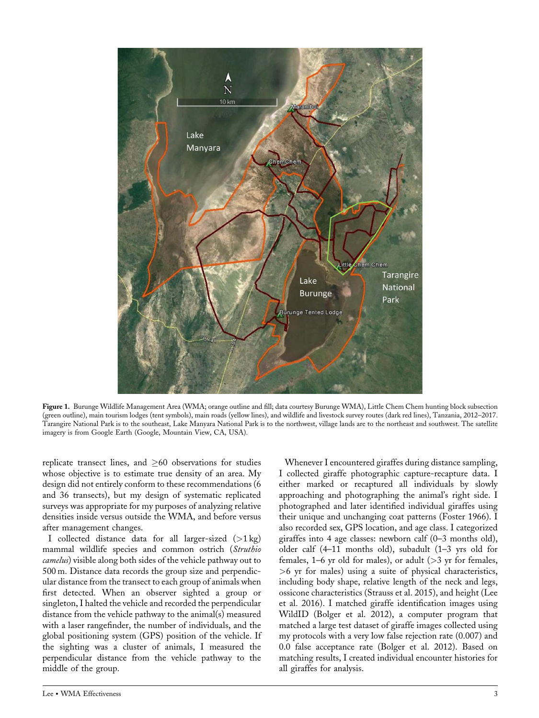

**Figure 1.** Burunge Wildlife Management Area (WMA; orange outline and fill; data courtesy Burunge WMA), Little Chem Chem hunting block subsection (green outline), main tourism lodges (tent symbols), main roads (yellow lines), and wildlife and livestock survey routes (dark red lines), Tanzania, 2012–2017. Tarangire National Park is to the southeast, Lake Manyara National Park is to the northwest, village lands are to the northeast and southwest. The satellite imagery is from Google Earth (Google, Mountain View, CA, USA).

replicate transect lines, and  $\geq 60$  observations for studies whose objective is to estimate true density of an area. My design did not entirely conform to these recommendations (6 and 36 transects), but my design of systematic replicated surveys was appropriate for my purposes of analyzing relative densities inside versus outside the WMA, and before versus after management changes.

I collected distance data for all larger-sized (>1 kg) mammal wildlife species and common ostrich (*Struthio camelus*) visible along both sides of the vehicle pathway out to 500 m. Distance data records the group size and perpendicular distance from the transect to each group of animals when first detected. When an observer sighted a group or singleton, I halted the vehicle and recorded the perpendicular distance from the vehicle pathway to the animal(s) measured with a laser rangefinder, the number of individuals, and the global positioning system (GPS) position of the vehicle. If the sighting was a cluster of animals, I measured the perpendicular distance from the vehicle pathway to the middle of the group.

Whenever I encountered giraffes during distance sampling, I collected giraffe photographic capture-recapture data. I either marked or recaptured all individuals by slowly approaching and photographing the animal's right side. I photographed and later identified individual giraffes using their unique and unchanging coat patterns (Foster 1966). I also recorded sex, GPS location, and age class. I categorized giraffes into 4 age classes: newborn calf (0–3 months old), older calf (4–11 months old), subadult (1–3 yrs old for females,  $1-6$  yr old for males), or adult ( $>3$  yr for females, >6 yr for males) using a suite of physical characteristics, including body shape, relative length of the neck and legs, ossicone characteristics (Strauss et al. 2015), and height (Lee et al. 2016). I matched giraffe identification images using WildID (Bolger et al. 2012), a computer program that matched a large test dataset of giraffe images collected using my protocols with a very low false rejection rate (0.007) and 0.0 false acceptance rate (Bolger et al. 2012). Based on matching results, I created individual encounter histories for all giraffes for analysis.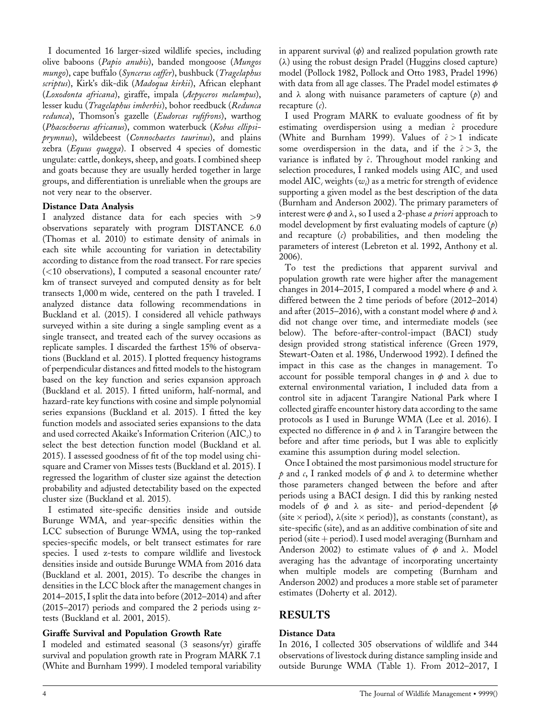I documented 16 larger-sized wildlife species, including olive baboons (*Papio anubis*), banded mongoose (*Mungos mungo*), cape buffalo (*Syncerus caffer*), bushbuck (*Tragelaphus scriptus*), Kirk's dik-dik (*Madoqua kirkii*), African elephant (*Loxodonta africana*), giraffe, impala (*Aepyceros melampus*), lesser kudu (*Tragelaphus imberbis*), bohor reedbuck (*Redunca redunca*), Thomson's gazelle (*Eudorcas rufifrons*), warthog (*Phacochoerus africanus*), common waterbuck (*Kobus ellipsiprymnus*), wildebeest (*Connochaetes taurinus*), and plains zebra (*Equus quagga*). I observed 4 species of domestic ungulate: cattle, donkeys, sheep, and goats. I combined sheep and goats because they are usually herded together in large groups, and differentiation is unreliable when the groups are not very near to the observer.

#### **Distance Data Analysis**

I analyzed distance data for each species with >9 observations separately with program DISTANCE 6.0 (Thomas et al. 2010) to estimate density of animals in each site while accounting for variation in detectability according to distance from the road transect. For rare species (<10 observations), I computed a seasonal encounter rate/ km of transect surveyed and computed density as for belt transects 1,000 m wide, centered on the path I traveled. I analyzed distance data following recommendations in Buckland et al. (2015). I considered all vehicle pathways surveyed within a site during a single sampling event as a single transect, and treated each of the survey occasions as replicate samples. I discarded the farthest 15% of observations (Buckland et al. 2015). I plotted frequency histograms of perpendicular distances and fitted models to the histogram based on the key function and series expansion approach (Buckland et al. 2015). I fitted uniform, half-normal, and hazard-rate key functions with cosine and simple polynomial series expansions (Buckland et al. 2015). I fitted the key function models and associated series expansions to the data and used corrected Akaike's Information Criterion (AIC<sub>c</sub>) to select the best detection function model (Buckland et al. 2015). I assessed goodness of fit of the top model using chisquare and Cramer von Misses tests (Buckland et al. 2015). I regressed the logarithm of cluster size against the detection probability and adjusted detectability based on the expected cluster size (Buckland et al. 2015).

I estimated site-specific densities inside and outside Burunge WMA, and year-specific densities within the LCC subsection of Burunge WMA, using the top-ranked species-specific models, or belt transect estimates for rare species. I used z-tests to compare wildlife and livestock densities inside and outside Burunge WMA from 2016 data (Buckland et al. 2001, 2015). To describe the changes in densities in the LCC block after the management changes in 2014–2015, I split the data into before (2012–2014) and after (2015–2017) periods and compared the 2 periods using ztests (Buckland et al. 2001, 2015).

#### **Giraffe Survival and Population Growth Rate**

I modeled and estimated seasonal (3 seasons/yr) giraffe survival and population growth rate in Program MARK 7.1 (White and Burnham 1999). I modeled temporal variability in apparent survival  $(\phi)$  and realized population growth rate  $(\lambda)$  using the robust design Pradel (Huggins closed capture) model (Pollock 1982, Pollock and Otto 1983, Pradel 1996) with data from all age classes. The Pradel model estimates  $\phi$ and  $\lambda$  along with nuisance parameters of capture ( $p$ ) and recapture (*c*).

I used Program MARK to evaluate goodness of fit by estimating overdispersion using a median ^*c* procedure (White and Burnham 1999). Values of  $\hat{c} > 1$  indicate some overdispersion in the data, and if the  $\hat{c}$  > 3, the variance is inflated by  $\hat{c}$ . Throughout model ranking and selection procedures, I ranked models using AIC<sub>c</sub> and used model AIC*<sup>c</sup>* weights (*wi*) as a metric for strength of evidence supporting a given model as the best description of the data (Burnham and Anderson 2002). The primary parameters of interest were  $\phi$  and  $\lambda$ , so I used a 2-phase *a priori* approach to model development by first evaluating models of capture (*p*) and recapture (*c*) probabilities, and then modeling the parameters of interest (Lebreton et al. 1992, Anthony et al. 2006).

To test the predictions that apparent survival and population growth rate were higher after the management changes in 2014–2015, I compared a model where  $\phi$  and  $\lambda$ differed between the 2 time periods of before (2012–2014) and after (2015–2016), with a constant model where  $\phi$  and  $\lambda$ did not change over time, and intermediate models (see below). The before-after-control-impact (BACI) study design provided strong statistical inference (Green 1979, Stewart-Oaten et al. 1986, Underwood 1992). I defined the impact in this case as the changes in management. To account for possible temporal changes in  $\phi$  and  $\lambda$  due to external environmental variation, I included data from a control site in adjacent Tarangire National Park where I collected giraffe encounter history data according to the same protocols as I used in Burunge WMA (Lee et al. 2016). I expected no difference in  $\phi$  and  $\lambda$  in Tarangire between the before and after time periods, but I was able to explicitly examine this assumption during model selection.

Once I obtained the most parsimonious model structure for  $p$  and  $c$ , I ranked models of  $\phi$  and  $\lambda$  to determine whether those parameters changed between the before and after periods using a BACI design. I did this by ranking nested models of  $\phi$  and  $\lambda$  as site- and period-dependent { $\phi$ (site  $\times$  period),  $\lambda$ (site  $\times$  period)}, as constants (constant), as site-specific (site), and as an additive combination of site and period (site  $+$  period). I used model averaging (Burnham and Anderson 2002) to estimate values of  $\phi$  and  $\lambda$ . Model averaging has the advantage of incorporating uncertainty when multiple models are competing (Burnham and Anderson 2002) and produces a more stable set of parameter estimates (Doherty et al. 2012).

## **RESULTS**

#### **Distance Data**

In 2016, I collected 305 observations of wildlife and 344 observations of livestock during distance sampling inside and outside Burunge WMA (Table 1). From 2012–2017, I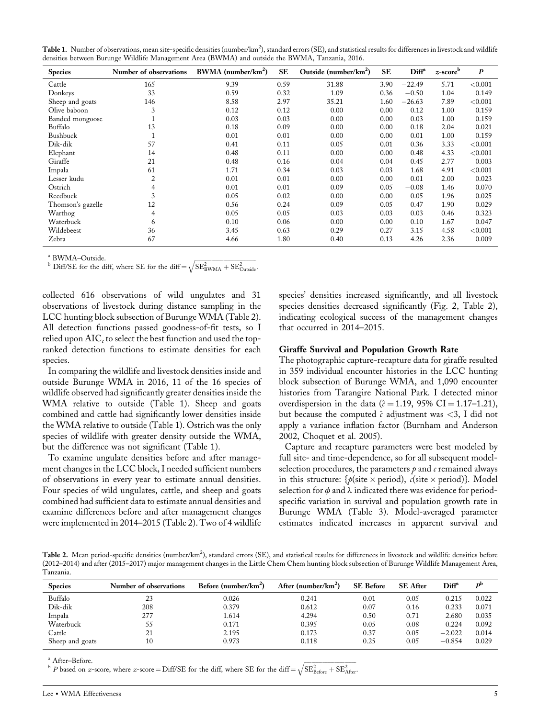|  | Table 1. Number of observations, mean site-specific densities (number/km <sup>2</sup> ), standard errors (SE), and statistical results for differences in livestock and wildlife |  |  |  |
|--|----------------------------------------------------------------------------------------------------------------------------------------------------------------------------------|--|--|--|
|  | densities between Burunge Wildlife Management Area (BWMA) and outside the BWMA, Tanzania, 2016.                                                                                  |  |  |  |

| <b>Species</b>    | Number of observations | BWMA (number/km <sup>2</sup> ) | <b>SE</b> | Outside (number/km <sup>2</sup> ) | <b>SE</b> | Diff <sup>a</sup> | $z$ -score $b$ | $\boldsymbol{P}$ |
|-------------------|------------------------|--------------------------------|-----------|-----------------------------------|-----------|-------------------|----------------|------------------|
| Cattle            | 165                    | 9.39                           | 0.59      | 31.88                             | 3.90      | $-22.49$          | 5.71           | < 0.001          |
| Donkeys           | 33                     | 0.59                           | 0.32      | 1.09                              | 0.36      | $-0.50$           | 1.04           | 0.149            |
| Sheep and goats   | 146                    | 8.58                           | 2.97      | 35.21                             | 1.60      | $-26.63$          | 7.89           | < 0.001          |
| Olive baboon      | 3                      | 0.12                           | 0.12      | 0.00                              | 0.00      | 0.12              | 1.00           | 0.159            |
| Banded mongoose   |                        | 0.03                           | 0.03      | 0.00                              | 0.00      | 0.03              | 1.00           | 0.159            |
| Buffalo           | 13                     | 0.18                           | 0.09      | 0.00                              | 0.00      | 0.18              | 2.04           | 0.021            |
| Bushbuck          |                        | 0.01                           | 0.01      | 0.00                              | 0.00      | 0.01              | 1.00           | 0.159            |
| Dik-dik           | 57                     | 0.41                           | 0.11      | 0.05                              | 0.01      | 0.36              | 3.33           | < 0.001          |
| Elephant          | 14                     | 0.48                           | 0.11      | 0.00                              | 0.00      | 0.48              | 4.33           | < 0.001          |
| Giraffe           | 21                     | 0.48                           | 0.16      | 0.04                              | 0.04      | 0.45              | 2.77           | 0.003            |
| Impala            | 61                     | 1.71                           | 0.34      | 0.03                              | 0.03      | 1.68              | 4.91           | < 0.001          |
| Lesser kudu       | $\overline{2}$         | 0.01                           | 0.01      | 0.00                              | 0.00      | 0.01              | 2.00           | 0.023            |
| Ostrich           | 4                      | 0.01                           | 0.01      | 0.09                              | 0.05      | $-0.08$           | 1.46           | 0.070            |
| Reedbuck          | 3                      | 0.05                           | 0.02      | 0.00                              | 0.00      | 0.05              | 1.96           | 0.025            |
| Thomson's gazelle | 12                     | 0.56                           | 0.24      | 0.09                              | 0.05      | 0.47              | 1.90           | 0.029            |
| Warthog           | 4                      | 0.05                           | 0.05      | 0.03                              | 0.03      | 0.03              | 0.46           | 0.323            |
| Waterbuck         | 6                      | 0.10                           | 0.06      | 0.00                              | 0.00      | 0.10              | 1.67           | 0.047            |
| Wildebeest        | 36                     | 3.45                           | 0.63      | 0.29                              | 0.27      | 3.15              | 4.58           | < 0.001          |
| Zebra             | 67                     | 4.66                           | 1.80      | 0.40                              | 0.13      | 4.26              | 2.36           | 0.009            |

<sup>a</sup> BWMA–Outside.

 $\frac{b \text{ Diff/SE}}{\text{Diff/SE}}$  for the diff, where SE for the diff= $\sqrt{\text{SE}_{\text{BWMA}}^2 + \text{SE}_{\text{Outside}}^2}$ .

collected 616 observations of wild ungulates and 31 observations of livestock during distance sampling in the LCC hunting block subsection of Burunge WMA (Table 2). All detection functions passed goodness-of-fit tests, so I relied upon AIC<sub>c</sub> to select the best function and used the topranked detection functions to estimate densities for each species.

In comparing the wildlife and livestock densities inside and outside Burunge WMA in 2016, 11 of the 16 species of wildlife observed had significantly greater densities inside the WMA relative to outside (Table 1). Sheep and goats combined and cattle had significantly lower densities inside the WMA relative to outside (Table 1). Ostrich was the only species of wildlife with greater density outside the WMA, but the difference was not significant (Table 1).

To examine ungulate densities before and after management changes in the LCC block, I needed sufficient numbers of observations in every year to estimate annual densities. Four species of wild ungulates, cattle, and sheep and goats combined had sufficient data to estimate annual densities and examine differences before and after management changes were implemented in 2014–2015 (Table 2). Two of 4 wildlife species' densities increased significantly, and all livestock species densities decreased significantly (Fig. 2, Table 2), indicating ecological success of the management changes that occurred in 2014–2015.

#### **Giraffe Survival and Population Growth Rate**

The photographic capture-recapture data for giraffe resulted in 359 individual encounter histories in the LCC hunting block subsection of Burunge WMA, and 1,090 encounter histories from Tarangire National Park. I detected minor overdispersion in the data ( $\hat{c} = 1.19$ , 95% CI = 1.17–1.21), but because the computed  $\hat{c}$  adjustment was <3, I did not apply a variance inflation factor (Burnham and Anderson 2002, Choquet et al. 2005).

Capture and recapture parameters were best modeled by full site- and time-dependence, so for all subsequent modelselection procedures, the parameters *p* and *c* remained always in this structure:  $\{p(\text{site} \times \text{period}), c(\text{site} \times \text{period})\}$ . Model selection for  $\phi$  and  $\lambda$  indicated there was evidence for periodspecific variation in survival and population growth rate in Burunge WMA (Table 3). Model-averaged parameter estimates indicated increases in apparent survival and

Table 2. Mean period-specific densities (number/km<sup>2</sup>), standard errors (SE), and statistical results for differences in livestock and wildlife densities before (2012–2014) and after (2015–2017) major management changes in the Little Chem Chem hunting block subsection of Burunge Wildlife Management Area, Tanzania.

| <b>Species</b>  | Number of observations | Before (number/ $km^2$ ) | After (number/ $km^2$ ) | <b>SE</b> Before | <b>SE</b> After | Diff <sup>a</sup> | $\mathbf{p}^{\mathbf{b}}$ |
|-----------------|------------------------|--------------------------|-------------------------|------------------|-----------------|-------------------|---------------------------|
| Buffalo         | 23                     | 0.026                    | 0.241                   | 0.01             | 0.05            | 0.215             | 0.022                     |
| Dik-dik         | 208                    | 0.379                    | 0.612                   | 0.07             | 0.16            | 0.233             | 0.071                     |
| Impala          | 277                    | 1.614                    | 4.294                   | 0.50             | 0.71            | 2.680             | 0.035                     |
| Waterbuck       |                        | 0.171                    | 0.395                   | 0.05             | 0.08            | 0.224             | 0.092                     |
| Cattle          | 21                     | 2.195                    | 0.173                   | 0.37             | 0.05            | $-2.022$          | 0.014                     |
| Sheep and goats | 10                     | 0.973                    | 0.118                   | 0.25             | 0.05            | $-0.854$          | 0.029                     |

<sup>a</sup> After–Before.

 $b^{\text{H}}$  P based on z-score, where z-score = Diff/SE for the diff, where SE for the diff =  $\sqrt{\text{SE}_{\text{Before}}^2 + \text{SE}_{\text{After}}^2}$ .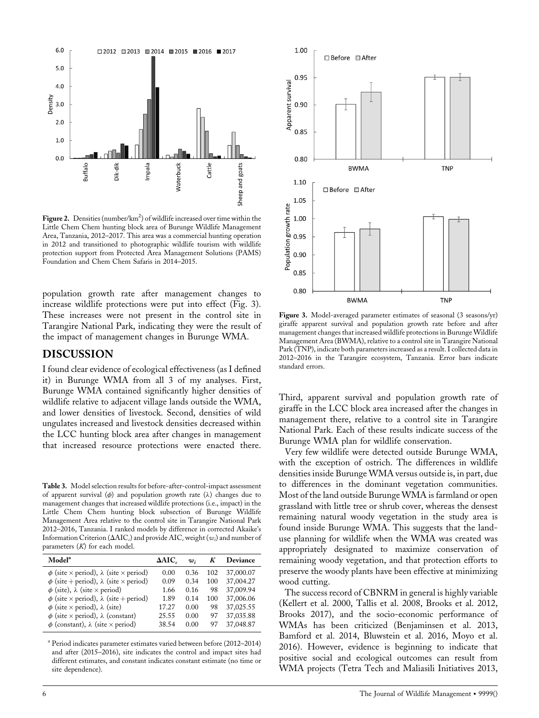

Figure 2. Densities (number/km<sup>2</sup>) of wildlife increased over time within the Little Chem Chem hunting block area of Burunge Wildlife Management Area, Tanzania, 2012–2017. This area was a commercial hunting operation in 2012 and transitioned to photographic wildlife tourism with wildlife protection support from Protected Area Management Solutions (PAMS) Foundation and Chem Chem Safaris in 2014–2015.

population growth rate after management changes to increase wildlife protections were put into effect (Fig. 3). These increases were not present in the control site in Tarangire National Park, indicating they were the result of the impact of management changes in Burunge WMA.

#### **DISCUSSION**

I found clear evidence of ecological effectiveness (as I defined it) in Burunge WMA from all 3 of my analyses. First, Burunge WMA contained significantly higher densities of wildlife relative to adjacent village lands outside the WMA, and lower densities of livestock. Second, densities of wild ungulates increased and livestock densities decreased within the LCC hunting block area after changes in management that increased resource protections were enacted there.

**Table 3.** Model selection results for before-after-control-impact assessment of apparent survival  $(\phi)$  and population growth rate  $(\lambda)$  changes due to management changes that increased wildlife protections (i.e., impact) in the Little Chem Chem hunting block subsection of Burunge Wildlife Management Area relative to the control site in Tarangire National Park 2012–2016, Tanzania. I ranked models by difference in corrected Akaike's Information Criterion ( $\Delta AIC_c$ ) and provide  $AIC_c$  weight ( $w_i$ ) and number of parameters (*K*) for each model.

| Model <sup>a</sup>                                              | $\triangle AIC.$ | w:   | K   | Deviance  |
|-----------------------------------------------------------------|------------------|------|-----|-----------|
| $\phi$ (site $\times$ period), $\lambda$ (site $\times$ period) | 0.00             | 0.36 | 102 | 37,000.07 |
| $\phi$ (site + period), $\lambda$ (site × period)               | 0.09             | 0.34 | 100 | 37,004.27 |
| $\phi$ (site), $\lambda$ (site $\times$ period)                 | 1.66             | 0.16 | 98  | 37,009.94 |
| $\phi$ (site $\times$ period), $\lambda$ (site + period)        | 1.89             | 0.14 | 100 | 37,006.06 |
| $\phi$ (site $\times$ period), $\lambda$ (site)                 | 17.27            | 0.00 | 98  | 37,025.55 |
| $\phi$ (site $\times$ period), $\lambda$ (constant)             | 25.55            | 0.00 | 97  | 37,035.88 |
| $\phi$ (constant), $\lambda$ (site $\times$ period)             | 38.54            | 0.00 | 97  | 37,048.87 |
|                                                                 |                  |      |     |           |

<sup>a</sup> Period indicates parameter estimates varied between before (2012–2014) and after (2015–2016), site indicates the control and impact sites had different estimates, and constant indicates constant estimate (no time or site dependence).



Figure 3. Model-averaged parameter estimates of seasonal (3 seasons/yr) giraffe apparent survival and population growth rate before and after management changes that increased wildlife protections in Burunge Wildlife Management Area (BWMA), relative to a control site in Tarangire National Park (TNP), indicate both parameters increased as a result. I collected data in 2012–2016 in the Tarangire ecosystem, Tanzania. Error bars indicate standard errors.

Third, apparent survival and population growth rate of giraffe in the LCC block area increased after the changes in management there, relative to a control site in Tarangire National Park. Each of these results indicate success of the Burunge WMA plan for wildlife conservation.

Very few wildlife were detected outside Burunge WMA, with the exception of ostrich. The differences in wildlife densities inside Burunge WMA versus outside is, in part, due to differences in the dominant vegetation communities. Most of the land outside Burunge WMA is farmland or open grassland with little tree or shrub cover, whereas the densest remaining natural woody vegetation in the study area is found inside Burunge WMA. This suggests that the landuse planning for wildlife when the WMA was created was appropriately designated to maximize conservation of remaining woody vegetation, and that protection efforts to preserve the woody plants have been effective at minimizing wood cutting.

The success record of CBNRM in general is highly variable (Kellert et al. 2000, Tallis et al. 2008, Brooks et al. 2012, Brooks 2017), and the socio-economic performance of WMAs has been criticized (Benjaminsen et al. 2013, Bamford et al. 2014, Bluwstein et al. 2016, Moyo et al. 2016). However, evidence is beginning to indicate that positive social and ecological outcomes can result from WMA projects (Tetra Tech and Maliasili Initiatives 2013,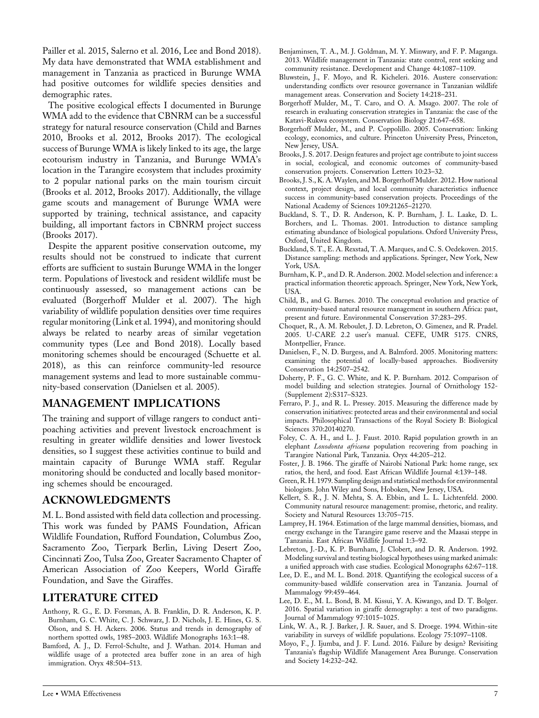Pailler et al. 2015, Salerno et al. 2016, Lee and Bond 2018). My data have demonstrated that WMA establishment and management in Tanzania as practiced in Burunge WMA had positive outcomes for wildlife species densities and demographic rates.

The positive ecological effects I documented in Burunge WMA add to the evidence that CBNRM can be a successful strategy for natural resource conservation (Child and Barnes 2010, Brooks et al. 2012, Brooks 2017). The ecological success of Burunge WMA is likely linked to its age, the large ecotourism industry in Tanzania, and Burunge WMA's location in the Tarangire ecosystem that includes proximity to 2 popular national parks on the main tourism circuit (Brooks et al. 2012, Brooks 2017). Additionally, the village game scouts and management of Burunge WMA were supported by training, technical assistance, and capacity building, all important factors in CBNRM project success (Brooks 2017).

Despite the apparent positive conservation outcome, my results should not be construed to indicate that current efforts are sufficient to sustain Burunge WMA in the longer term. Populations of livestock and resident wildlife must be continuously assessed, so management actions can be evaluated (Borgerhoff Mulder et al. 2007). The high variability of wildlife population densities over time requires regular monitoring (Link et al. 1994), and monitoring should always be related to nearby areas of similar vegetation community types (Lee and Bond 2018). Locally based monitoring schemes should be encouraged (Schuette et al. 2018), as this can reinforce community-led resource management systems and lead to more sustainable community-based conservation (Danielsen et al. 2005).

## **MANAGEMENT IMPLICATIONS**

The training and support of village rangers to conduct antipoaching activities and prevent livestock encroachment is resulting in greater wildlife densities and lower livestock densities, so I suggest these activities continue to build and maintain capacity of Burunge WMA staff. Regular monitoring should be conducted and locally based monitoring schemes should be encouraged.

## **ACKNOWLEDGMENTS**

M. L. Bond assisted with field data collection and processing. This work was funded by PAMS Foundation, African Wildlife Foundation, Rufford Foundation, Columbus Zoo, Sacramento Zoo, Tierpark Berlin, Living Desert Zoo, Cincinnati Zoo, Tulsa Zoo, Greater Sacramento Chapter of American Association of Zoo Keepers, World Giraffe Foundation, and Save the Giraffes.

## **LITERATURE CITED**

- Anthony, R. G., E. D. Forsman, A. B. Franklin, D. R. Anderson, K. P. Burnham, G. C. White, C. J. Schwarz, J. D. Nichols, J. E. Hines, G. S. Olson, and S. H. Ackers. 2006. Status and trends in demography of northern spotted owls, 1985–2003. Wildlife Monographs 163:1–48.
- Bamford, A. J., D. Ferrol-Schulte, and J. Wathan. 2014. Human and wildlife usage of a protected area buffer zone in an area of high immigration. Oryx 48:504–513.
- Benjaminsen, T. A., M. J. Goldman, M. Y. Minwary, and F. P. Maganga. 2013. Wildlife management in Tanzania: state control, rent seeking and community resistance. Development and Change 44:1087–1109.
- Bluwstein, J., F. Moyo, and R. Kicheleri. 2016. Austere conservation: understanding conflicts over resource governance in Tanzanian wildlife management areas. Conservation and Society 14:218–231.
- Borgerhoff Mulder, M., T. Caro, and O. A. Msago. 2007. The role of research in evaluating conservation strategies in Tanzania: the case of the Katavi-Rukwa ecosystem. Conservation Biology 21:647–658.
- Borgerhoff Mulder, M., and P. Coppolillo. 2005. Conservation: linking ecology, economics, and culture. Princeton University Press, Princeton, New Jersey, USA.
- Brooks, J. S. 2017. Design features and project age contribute to joint success in social, ecological, and economic outcomes of community-based conservation projects. Conservation Letters 10:23–32.
- Brooks, J. S., K. A. Waylen, and M. Borgerhoff Mulder. 2012. How national context, project design, and local community characteristics influence success in community-based conservation projects. Proceedings of the National Academy of Sciences 109:21265–21270.
- Buckland, S. T., D. R. Anderson, K. P. Burnham, J. L. Laake, D. L. Borchers, and L. Thomas. 2001. Introduction to distance sampling estimating abundance of biological populations. Oxford University Press, Oxford, United Kingdom.
- Buckland, S. T., E. A. Rexstad, T. A. Marques, and C. S. Oedekoven. 2015. Distance sampling: methods and applications. Springer, New York, New York, USA.
- Burnham, K. P., and D. R. Anderson. 2002. Model selection and inference: a practical information theoretic approach. Springer, New York, New York, USA.
- Child, B., and G. Barnes. 2010. The conceptual evolution and practice of community-based natural resource management in southern Africa: past, present and future. Environmental Conservation 37:283–295.
- Choquet, R., A. M. Reboulet, J. D. Lebreton, O. Gimenez, and R. Pradel. 2005. U-CARE 2.2 user's manual. CEFE, UMR 5175. CNRS, Montpellier, France.
- Danielsen, F., N. D. Burgess, and A. Balmford. 2005. Monitoring matters: examining the potential of locally-based approaches. Biodiversity Conservation 14:2507–2542.
- Doherty, P. F., G. C. White, and K. P. Burnham. 2012. Comparison of model building and selection strategies. Journal of Ornithology 152- (Supplement 2):S317–S323.
- Ferraro, P. J., and R. L. Pressey. 2015. Measuring the difference made by conservation initiatives: protected areas and their environmental and social impacts. Philosophical Transactions of the Royal Society B: Biological Sciences 370:20140270.
- Foley, C. A. H., and L. J. Faust. 2010. Rapid population growth in an elephant *Loxodonta africana* population recovering from poaching in Tarangire National Park, Tanzania. Oryx 44:205–212.
- Foster, J. B. 1966. The giraffe of Nairobi National Park: home range, sex ratios, the herd, and food. East African Wildlife Journal 4:139–148.
- Green, R.H. 1979. Sampling design and statistical methods for environmental biologists. John Wiley and Sons, Hoboken, New Jersey, USA.
- Kellert, S. R., J. N. Mehta, S. A. Ebbin, and L. L. Lichtenfeld. 2000. Community natural resource management: promise, rhetoric, and reality. Society and Natural Resources 13:705–715.
- Lamprey, H. 1964. Estimation of the large mammal densities, biomass, and energy exchange in the Tarangire game reserve and the Maasai steppe in Tanzania. East African Wildlife Journal 1:3–92.
- Lebreton, J.-D., K. P. Burnham, J. Clobert, and D. R. Anderson. 1992. Modeling survival and testing biological hypotheses using marked animals: a unified approach with case studies. Ecological Monographs 62:67–118.
- Lee, D. E., and M. L. Bond. 2018. Quantifying the ecological success of a community-based wildlife conservation area in Tanzania. Journal of Mammalogy 99:459–464.
- Lee, D. E., M. L. Bond, B. M. Kissui, Y. A. Kiwango, and D. T. Bolger. 2016. Spatial variation in giraffe demography: a test of two paradigms. Journal of Mammalogy 97:1015–1025.
- Link, W. A., R. J. Barker, J. R. Sauer, and S. Droege. 1994. Within-site variability in surveys of wildlife populations. Ecology 75:1097–1108.
- Moyo, F., J. Ijumba, and J. F. Lund. 2016. Failure by design? Revisiting Tanzania's flagship Wildlife Management Area Burunge. Conservation and Society 14:232–242.